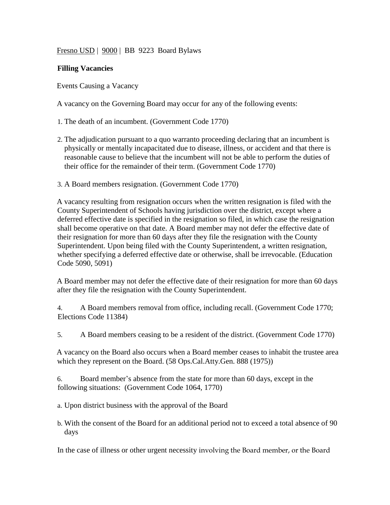Fresno USD | 9000 | BB 9223 Board Bylaws

## **Filling Vacancies**

Events Causing a Vacancy

A vacancy on the Governing Board may occur for any of the following events:

1. The death of an incumbent. (Government Code 1770)

- 2. The adjudication pursuant to a quo warranto proceeding declaring that an incumbent is physically or mentally incapacitated due to disease, illness, or accident and that there is reasonable cause to believe that the incumbent will not be able to perform the duties of their office for the remainder of their term. (Government Code 1770)
- 3. A Board members resignation. (Government Code 1770)

A vacancy resulting from resignation occurs when the written resignation is filed with the County Superintendent of Schools having jurisdiction over the district, except where a deferred effective date is specified in the resignation so filed, in which case the resignation shall become operative on that date. A Board member may not defer the effective date of their resignation for more than 60 days after they file the resignation with the County Superintendent. Upon being filed with the County Superintendent, a written resignation, whether specifying a deferred effective date or otherwise, shall be irrevocable. (Education Code 5090, 5091)

A Board member may not defer the effective date of their resignation for more than 60 days after they file the resignation with the County Superintendent.

4. A Board members removal from office, including recall. (Government Code 1770; Elections Code 11384)

5. A Board members ceasing to be a resident of the district. (Government Code 1770)

A vacancy on the Board also occurs when a Board member ceases to inhabit the trustee area which they represent on the Board. (58 Ops.Cal.Atty.Gen. 888 (1975))

6. Board member's absence from the state for more than 60 days, except in the following situations: (Government Code 1064, 1770)

a. Upon district business with the approval of the Board

b. With the consent of the Board for an additional period not to exceed a total absence of 90 days

In the case of illness or other urgent necessity involving the Board member, or the Board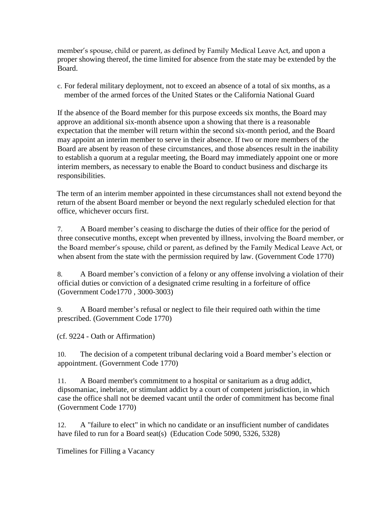member's spouse, child or parent, as defined by Family Medical Leave Act, and upon a proper showing thereof, the time limited for absence from the state may be extended by the Board.

c. For federal military deployment, not to exceed an absence of a total of six months, as a member of the armed forces of the United States or the California National Guard

If the absence of the Board member for this purpose exceeds six months, the Board may approve an additional six-month absence upon a showing that there is a reasonable expectation that the member will return within the second six-month period, and the Board may appoint an interim member to serve in their absence. If two or more members of the Board are absent by reason of these circumstances, and those absences result in the inability to establish a quorum at a regular meeting, the Board may immediately appoint one or more interim members, as necessary to enable the Board to conduct business and discharge its responsibilities.

The term of an interim member appointed in these circumstances shall not extend beyond the return of the absent Board member or beyond the next regularly scheduled election for that office, whichever occurs first.

7. A Board member's ceasing to discharge the duties of their office for the period of three consecutive months, except when prevented by illness, involving the Board member, or the Board member's spouse, child or parent, as defined by the Family Medical Leave Act, or when absent from the state with the permission required by law. (Government Code 1770)

8. A Board member's conviction of a felony or any offense involving a violation of their official duties or conviction of a designated crime resulting in a forfeiture of office (Government Code1770 , 3000-3003)

9. A Board member's refusal or neglect to file their required oath within the time prescribed. (Government Code 1770)

(cf. 9224 - Oath or Affirmation)

10. The decision of a competent tribunal declaring void a Board member's election or appointment. (Government Code 1770)

11. A Board member's commitment to a hospital or sanitarium as a drug addict, dipsomaniac, inebriate, or stimulant addict by a court of competent jurisdiction, in which case the office shall not be deemed vacant until the order of commitment has become final (Government Code 1770)

12. A "failure to elect" in which no candidate or an insufficient number of candidates have filed to run for a Board seat(s) (Education Code 5090, 5326, 5328)

Timelines for Filling a Vacancy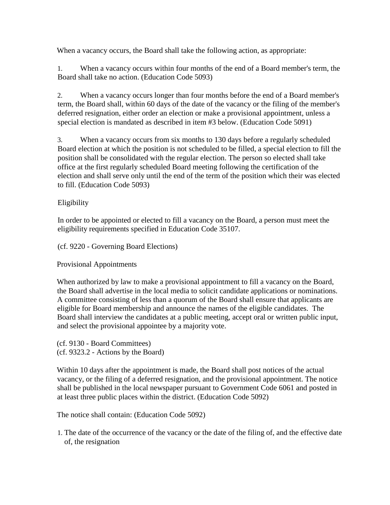When a vacancy occurs, the Board shall take the following action, as appropriate:

1. When a vacancy occurs within four months of the end of a Board member's term, the Board shall take no action. (Education Code 5093)

2. When a vacancy occurs longer than four months before the end of a Board member's term, the Board shall, within 60 days of the date of the vacancy or the filing of the member's deferred resignation, either order an election or make a provisional appointment, unless a special election is mandated as described in item #3 below. (Education Code 5091)

3. When a vacancy occurs from six months to 130 days before a regularly scheduled Board election at which the position is not scheduled to be filled, a special election to fill the position shall be consolidated with the regular election. The person so elected shall take office at the first regularly scheduled Board meeting following the certification of the election and shall serve only until the end of the term of the position which their was elected to fill. (Education Code 5093)

## Eligibility

In order to be appointed or elected to fill a vacancy on the Board, a person must meet the eligibility requirements specified in Education Code 35107.

(cf. 9220 - Governing Board Elections)

Provisional Appointments

When authorized by law to make a provisional appointment to fill a vacancy on the Board, the Board shall advertise in the local media to solicit candidate applications or nominations. A committee consisting of less than a quorum of the Board shall ensure that applicants are eligible for Board membership and announce the names of the eligible candidates. The Board shall interview the candidates at a public meeting, accept oral or written public input, and select the provisional appointee by a majority vote.

(cf. 9130 - Board Committees) (cf. 9323.2 - Actions by the Board)

Within 10 days after the appointment is made, the Board shall post notices of the actual vacancy, or the filing of a deferred resignation, and the provisional appointment. The notice shall be published in the local newspaper pursuant to Government Code 6061 and posted in at least three public places within the district. (Education Code 5092)

The notice shall contain: (Education Code 5092)

1. The date of the occurrence of the vacancy or the date of the filing of, and the effective date of, the resignation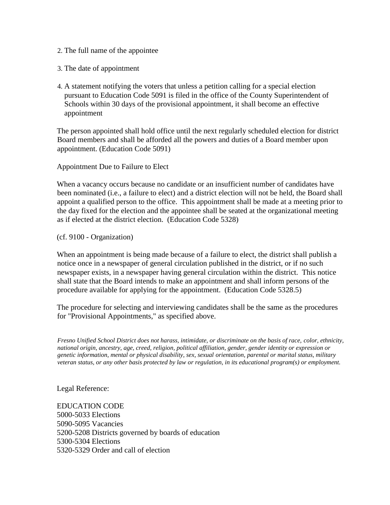- 2. The full name of the appointee
- 3. The date of appointment
- 4. A statement notifying the voters that unless a petition calling for a special election pursuant to Education Code 5091 is filed in the office of the County Superintendent of Schools within 30 days of the provisional appointment, it shall become an effective appointment

The person appointed shall hold office until the next regularly scheduled election for district Board members and shall be afforded all the powers and duties of a Board member upon appointment. (Education Code 5091)

Appointment Due to Failure to Elect

When a vacancy occurs because no candidate or an insufficient number of candidates have been nominated (i.e., a failure to elect) and a district election will not be held, the Board shall appoint a qualified person to the office. This appointment shall be made at a meeting prior to the day fixed for the election and the appointee shall be seated at the organizational meeting as if elected at the district election. (Education Code 5328)

(cf. 9100 - Organization)

When an appointment is being made because of a failure to elect, the district shall publish a notice once in a newspaper of general circulation published in the district, or if no such newspaper exists, in a newspaper having general circulation within the district. This notice shall state that the Board intends to make an appointment and shall inform persons of the procedure available for applying for the appointment. (Education Code 5328.5)

The procedure for selecting and interviewing candidates shall be the same as the procedures for "Provisional Appointments," as specified above.

*Fresno Unified School District does not harass, intimidate, or discriminate on the basis of race, color, ethnicity, national origin, ancestry, age, creed, religion, political affiliation, gender, gender identity or expression or genetic information, mental or physical disability, sex, sexual orientation, parental or marital status, military veteran status, or any other basis protected by law or regulation, in its educational program(s) or employment.*

Legal Reference:

EDUCATION CODE 5000-5033 Elections 5090-5095 Vacancies 5200-5208 Districts governed by boards of education 5300-5304 Elections 5320-5329 Order and call of election